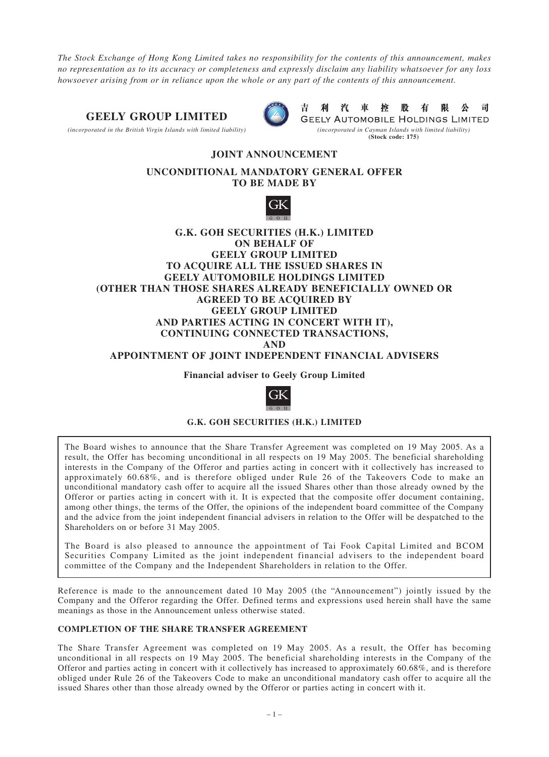*The Stock Exchange of Hong Kong Limited takes no responsibility for the contents of this announcement, makes no representation as to its accuracy or completeness and expressly disclaim any liability whatsoever for any loss howsoever arising from or in reliance upon the whole or any part of the contents of this announcement.*

## **GEELY GROUP LIMITED**



*(incorporated in the British Virgin Islands with limited liability) (incorporated in Cayman Islands with limited liability)*



汽 利 車 控 股 有 限 公 司 **GEELY AUTOMOBILE HOLDINGS LIMITED (Stock code: 175)**

# **JOINT ANNOUNCEMENT UNCONDITIONAL MANDATORY GENERAL OFFER**

**TO BE MADE BY**



### **G.K. GOH SECURITIES (H.K.) LIMITED ON BEHALF OF GEELY GROUP LIMITED TO ACQUIRE ALL THE ISSUED SHARES IN GEELY AUTOMOBILE HOLDINGS LIMITED (OTHER THAN THOSE SHARES ALREADY BENEFICIALLY OWNED OR AGREED TO BE ACQUIRED BY GEELY GROUP LIMITED AND PARTIES ACTING IN CONCERT WITH IT), CONTINUING CONNECTED TRANSACTIONS, AND**

**APPOINTMENT OF JOINT INDEPENDENT FINANCIAL ADVISERS**

**Financial adviser to Geely Group Limited**



### **G.K. GOH SECURITIES (H.K.) LIMITED**

The Board wishes to announce that the Share Transfer Agreement was completed on 19 May 2005. As a result, the Offer has becoming unconditional in all respects on 19 May 2005. The beneficial shareholding interests in the Company of the Offeror and parties acting in concert with it collectively has increased to approximately 60.68%, and is therefore obliged under Rule 26 of the Takeovers Code to make an unconditional mandatory cash offer to acquire all the issued Shares other than those already owned by the Offeror or parties acting in concert with it. It is expected that the composite offer document containing, among other things, the terms of the Offer, the opinions of the independent board committee of the Company and the advice from the joint independent financial advisers in relation to the Offer will be despatched to the Shareholders on or before 31 May 2005.

The Board is also pleased to announce the appointment of Tai Fook Capital Limited and BCOM Securities Company Limited as the joint independent financial advisers to the independent board committee of the Company and the Independent Shareholders in relation to the Offer.

Reference is made to the announcement dated 10 May 2005 (the "Announcement") jointly issued by the Company and the Offeror regarding the Offer. Defined terms and expressions used herein shall have the same meanings as those in the Announcement unless otherwise stated.

### **COMPLETION OF THE SHARE TRANSFER AGREEMENT**

The Share Transfer Agreement was completed on 19 May 2005. As a result, the Offer has becoming unconditional in all respects on 19 May 2005. The beneficial shareholding interests in the Company of the Offeror and parties acting in concert with it collectively has increased to approximately 60.68%, and is therefore obliged under Rule 26 of the Takeovers Code to make an unconditional mandatory cash offer to acquire all the issued Shares other than those already owned by the Offeror or parties acting in concert with it.